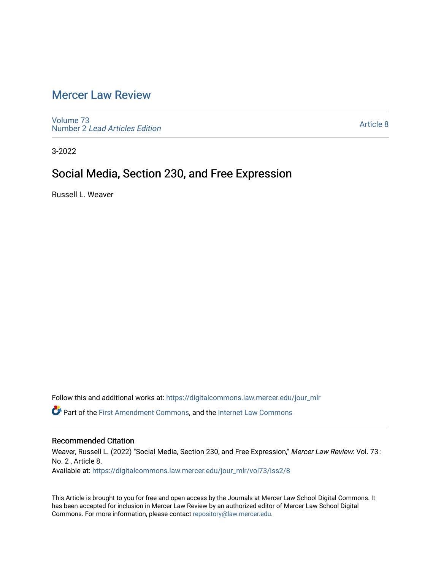# [Mercer Law Review](https://digitalcommons.law.mercer.edu/jour_mlr)

[Volume 73](https://digitalcommons.law.mercer.edu/jour_mlr/vol73) Number 2 [Lead Articles Edition](https://digitalcommons.law.mercer.edu/jour_mlr/vol73/iss2)

[Article 8](https://digitalcommons.law.mercer.edu/jour_mlr/vol73/iss2/8) 

3-2022

## Social Media, Section 230, and Free Expression

Russell L. Weaver

Follow this and additional works at: [https://digitalcommons.law.mercer.edu/jour\\_mlr](https://digitalcommons.law.mercer.edu/jour_mlr?utm_source=digitalcommons.law.mercer.edu%2Fjour_mlr%2Fvol73%2Fiss2%2F8&utm_medium=PDF&utm_campaign=PDFCoverPages)

Part of the [First Amendment Commons,](http://network.bepress.com/hgg/discipline/1115?utm_source=digitalcommons.law.mercer.edu%2Fjour_mlr%2Fvol73%2Fiss2%2F8&utm_medium=PDF&utm_campaign=PDFCoverPages) and the [Internet Law Commons](http://network.bepress.com/hgg/discipline/892?utm_source=digitalcommons.law.mercer.edu%2Fjour_mlr%2Fvol73%2Fiss2%2F8&utm_medium=PDF&utm_campaign=PDFCoverPages)

## Recommended Citation

Weaver, Russell L. (2022) "Social Media, Section 230, and Free Expression," Mercer Law Review: Vol. 73 : No. 2 , Article 8. Available at: [https://digitalcommons.law.mercer.edu/jour\\_mlr/vol73/iss2/8](https://digitalcommons.law.mercer.edu/jour_mlr/vol73/iss2/8?utm_source=digitalcommons.law.mercer.edu%2Fjour_mlr%2Fvol73%2Fiss2%2F8&utm_medium=PDF&utm_campaign=PDFCoverPages)

This Article is brought to you for free and open access by the Journals at Mercer Law School Digital Commons. It has been accepted for inclusion in Mercer Law Review by an authorized editor of Mercer Law School Digital Commons. For more information, please contact [repository@law.mercer.edu.](mailto:repository@law.mercer.edu)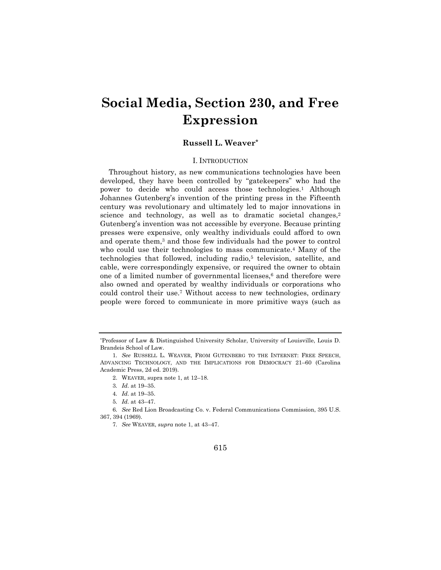# **Social Media, Section 230, and Free Expression**

### **Russell L. Weaver\***

#### I. INTRODUCTION

Throughout history, as new communications technologies have been developed, they have been controlled by "gatekeepers" who had the power to decide who could access those technologies.<sup>1</sup> Although Johannes Gutenberg's invention of the printing press in the Fifteenth century was revolutionary and ultimately led to major innovations in science and technology, as well as to dramatic societal changes,<sup>2</sup> Gutenberg's invention was not accessible by everyone. Because printing presses were expensive, only wealthy individuals could afford to own and operate them,<sup>3</sup> and those few individuals had the power to control who could use their technologies to mass communicate.<sup>4</sup> Many of the technologies that followed, including radio,<sup>5</sup> television, satellite, and cable, were correspondingly expensive, or required the owner to obtain one of a limited number of governmental licenses, $6$  and therefore were also owned and operated by wealthy individuals or corporations who could control their use.<sup>7</sup> Without access to new technologies, ordinary people were forced to communicate in more primitive ways (such as

#### 615

<sup>\*</sup>Professor of Law & Distinguished University Scholar, University of Louisville, Louis D. Brandeis School of Law.

<sup>1</sup>*. See* RUSSELL L. WEAVER, FROM GUTENBERG TO THE INTERNET: FREE SPEECH, ADVANCING TECHNOLOGY, AND THE IMPLICATIONS FOR DEMOCRACY 21–60 (Carolina Academic Press, 2d ed. 2019).

<sup>2.</sup> WEAVER, supra note 1, at 12–18.

<sup>3</sup>*. Id*. at 19–35.

<sup>4</sup>*. Id*. at 19–35.

<sup>5</sup>*. Id*. at 43–47.

<sup>6</sup>*. See* Red Lion Broadcasting Co. v. Federal Communications Commission, 395 U.S. 367, 394 (1969).

<sup>7</sup>*. See* WEAVER, *supra* note 1, at 43–47.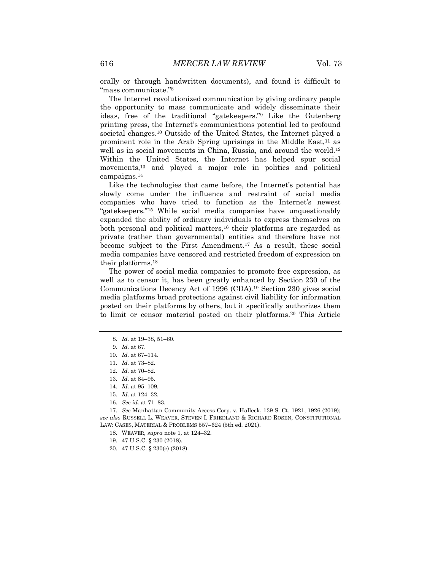orally or through handwritten documents), and found it difficult to "mass communicate."<sup>8</sup>

The Internet revolutionized communication by giving ordinary people the opportunity to mass communicate and widely disseminate their ideas, free of the traditional "gatekeepers."<sup>9</sup> Like the Gutenberg printing press, the Internet's communications potential led to profound societal changes.<sup>10</sup> Outside of the United States, the Internet played a prominent role in the Arab Spring uprisings in the Middle East, $11$  as well as in social movements in China, Russia, and around the world.<sup>12</sup> Within the United States, the Internet has helped spur social movements,<sup>13</sup> and played a major role in politics and political campaigns.<sup>14</sup>

Like the technologies that came before, the Internet's potential has slowly come under the influence and restraint of social media companies who have tried to function as the Internet's newest "gatekeepers."<sup>15</sup> While social media companies have unquestionably expanded the ability of ordinary individuals to express themselves on both personal and political matters,<sup>16</sup> their platforms are regarded as private (rather than governmental) entities and therefore have not become subject to the First Amendment.<sup>17</sup> As a result, these social media companies have censored and restricted freedom of expression on their platforms.<sup>18</sup>

The power of social media companies to promote free expression, as well as to censor it, has been greatly enhanced by Section 230 of the Communications Decency Act of 1996 (CDA).<sup>19</sup> Section 230 gives social media platforms broad protections against civil liability for information posted on their platforms by others, but it specifically authorizes them to limit or censor material posted on their platforms.<sup>20</sup> This Article

17*. See* Manhattan Community Access Corp. v. Halleck, 139 S. Ct. 1921, 1926 (2019); *see also* RUSSELL L. WEAVER, STEVEN I. FRIEDLAND & RICHARD ROSEN, CONSTITUTIONAL LAW: CASES, MATERIAL & PROBLEMS 557–624 (5th ed. 2021).

19. 47 U.S.C. § 230 (2018).

<sup>8</sup>*. Id.* at 19–38, 51–60.

<sup>9</sup>*. Id.* at 67.

<sup>10</sup>*. Id.* at 67–114.

<sup>11</sup>*. Id.* at 73–82.

<sup>12</sup>*. Id.* at 70–82.

<sup>13</sup>*. Id.* at 84–95.

<sup>14</sup>*. Id.* at 95–109.

<sup>15</sup>*. Id.* at 124–32.

<sup>16</sup>*. See id.* at 71–83.

<sup>18.</sup> WEAVER*, supra* note 1*,* at 124–32.

<sup>20.</sup> 47 U.S.C. § 230(c) (2018).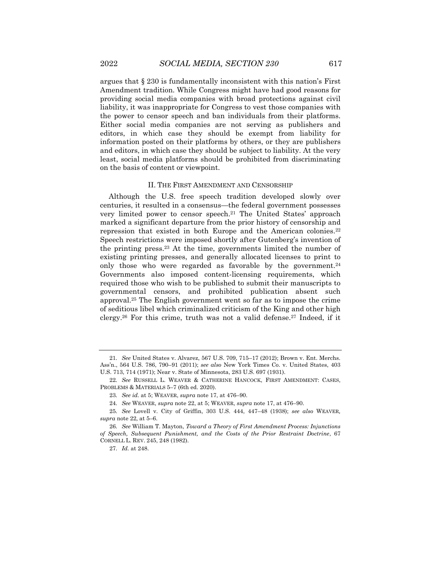argues that § 230 is fundamentally inconsistent with this nation's First Amendment tradition. While Congress might have had good reasons for providing social media companies with broad protections against civil liability, it was inappropriate for Congress to vest those companies with the power to censor speech and ban individuals from their platforms. Either social media companies are not serving as publishers and editors, in which case they should be exempt from liability for information posted on their platforms by others, or they are publishers and editors, in which case they should be subject to liability. At the very least, social media platforms should be prohibited from discriminating on the basis of content or viewpoint.

#### II. THE FIRST AMENDMENT AND CENSORSHIP

Although the U.S. free speech tradition developed slowly over centuries, it resulted in a consensus—the federal government possesses very limited power to censor speech.<sup>21</sup> The United States' approach marked a significant departure from the prior history of censorship and repression that existed in both Europe and the American colonies.<sup>22</sup> Speech restrictions were imposed shortly after Gutenberg's invention of the printing press.<sup>23</sup> At the time, governments limited the number of existing printing presses, and generally allocated licenses to print to only those who were regarded as favorable by the government.<sup>24</sup> Governments also imposed content-licensing requirements, which required those who wish to be published to submit their manuscripts to governmental censors, and prohibited publication absent such approval.<sup>25</sup> The English government went so far as to impose the crime of seditious libel which criminalized criticism of the King and other high clergy.<sup>26</sup> For this crime, truth was not a valid defense.<sup>27</sup> Indeed, if it

<sup>21</sup>*. See* United States v. Alvarez, 567 U.S. 709, 715–17 (2012); Brown v. Ent. Merchs. Ass'n., 564 U.S. 786, 790–91 (2011); *see also* New York Times Co. v. United States, 403 U.S. 713, 714 (1971); Near v. State of Minnesota, 283 U.S. 697 (1931).

<sup>22</sup>*. See* RUSSELL L. WEAVER & CATHERINE HANCOCK, FIRST AMENDMENT: CASES, PROBLEMS & MATERIALS 5–7 (6th ed. 2020).

<sup>23</sup>*. See id.* at 5; WEAVER, *supra* note 17, at 476–90.

<sup>24</sup>*. See* WEAVER, *supra* note 22, at 5; WEAVER, *supra* note 17, at 476–90.

<sup>25</sup>*. See* Lovell v. City of Griffin, 303 U.S. 444, 447–48 (1938); *see also* WEAVER*, supra* note 22*,* at 5–6.

<sup>26</sup>*. See* William T. Mayton, *Toward a Theory of First Amendment Process: Injunctions of Speech, Subsequent Punishment, and the Costs of the Prior Restraint Doctrine*, 67 CORNELL L. REV. 245, 248 (1982).

<sup>27</sup>*. Id.* at 248.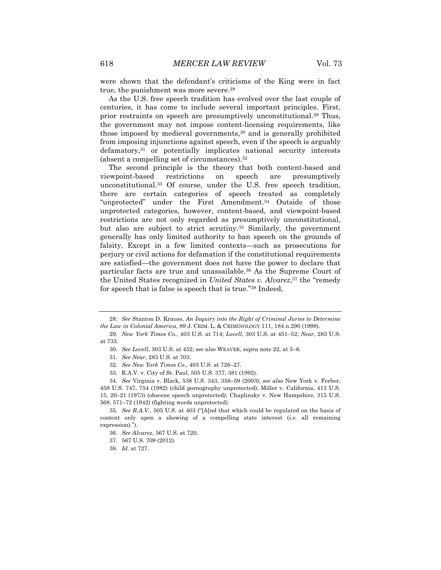were shown that the defendant's criticisms of the King were in fact true, the punishment was more severe.<sup>28</sup>

As the U.S. free speech tradition has evolved over the last couple of centuries, it has come to include several important principles. First, prior restraints on speech are presumptively unconstitutional.<sup>29</sup> Thus, the government may not impose content-licensing requirements, like those imposed by medieval governments, $30$  and is generally prohibited from imposing injunctions against speech, even if the speech is arguably defamatory,<sup>31</sup> or potentially implicates national security interests (absent a compelling set of circumstances).<sup>32</sup>

The second principle is the theory that both content-based and viewpoint-based restrictions on speech are presumptively unconstitutional.<sup>33</sup> Of course, under the U.S. free speech tradition, there are certain categories of speech treated as completely "unprotected" under the First Amendment.<sup>34</sup> Outside of those unprotected categories, however, content-based, and viewpoint-based restrictions are not only regarded as presumptively unconstitutional, but also are subject to strict scrutiny.<sup>35</sup> Similarly, the government generally has only limited authority to ban speech on the grounds of falsity. Except in a few limited contexts—such as prosecutions for perjury or civil actions for defamation if the constitutional requirements are satisfied—the government does not have the power to declare that particular facts are true and unassailable.<sup>36</sup> As the Supreme Court of the United States recognized in *United States v. Alvarez*, <sup>37</sup> the "remedy for speech that is false is speech that is true."<sup>38</sup> Indeed,

<sup>28</sup>*. See* Stanton D. Krauss, *An Inquiry into the Right of Criminal Juries to Determine the Law in Colonial America*, 89 J. CRIM. L. & CRIMINOLOGY 111, 184 n.290 (1998).

<sup>29</sup>*. New York Times Co.*, 403 U.S. at 714; *Lovell*, 303 U.S. at 451–52; *Near*, 283 U.S. at 733.

<sup>30</sup>*. See Lovell*, 303 U.S. at 452; *see also* WEAVER, *supra* note 22, at 5–6.

<sup>31</sup>*. See Near*, 283 U.S. at 703.

<sup>32</sup>*. See New York Times Co.*, 403 U.S. at 726–27.

<sup>33.</sup> R.A.V. v. City of St. Paul, 505 U.S. 377, 381 (1992).

<sup>34</sup>*. See* Virginia v. Black, 538 U.S. 343, 358–59 (2003); *see also* New York v. Ferber, 458 U.S. 747, 754 (1982) (child pornography unprotected); Miller v. California, 413 U.S. 15, 20–21 (1973) (obscene speech unprotected); Chaplinsky v. New Hampshire, 315 U.S. 568, 571–72 (1942) (fighting words unprotected).

<sup>35</sup>*. See R.A.V.*, 505 U.S. at 403 ("[A]nd that which could be regulated on the basis of content only upon a showing of a compelling state interest (*i.e.* all remaining expression).").

<sup>36</sup>*. See Alvarez*, 567 U.S. at 720.

<sup>37.</sup> 567 U.S. 709 (2012).

<sup>38</sup>*. Id.* at 727.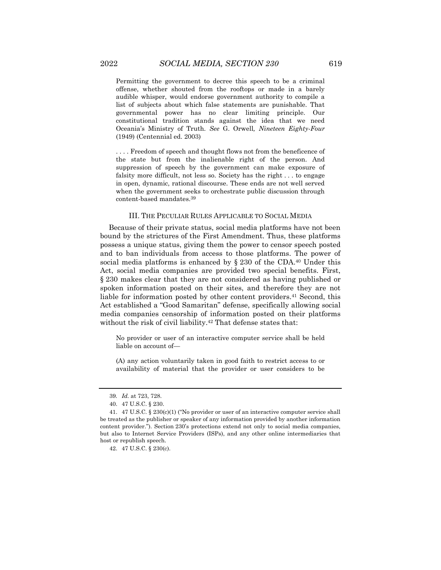Permitting the government to decree this speech to be a criminal offense, whether shouted from the rooftops or made in a barely audible whisper, would endorse government authority to compile a list of subjects about which false statements are punishable. That governmental power has no clear limiting principle. Our constitutional tradition stands against the idea that we need Oceania's Ministry of Truth. *See* G. Orwell*, Nineteen Eighty-Four*  (1949) (Centennial ed. 2003)

. . . . Freedom of speech and thought flows not from the beneficence of the state but from the inalienable right of the person. And suppression of speech by the government can make exposure of falsity more difficult, not less so. Society has the right . . . to engage in open, dynamic, rational discourse. These ends are not well served when the government seeks to orchestrate public discussion through content-based mandates.<sup>39</sup>

#### III. THE PECULIAR RULES APPLICABLE TO SOCIAL MEDIA

Because of their private status, social media platforms have not been bound by the strictures of the First Amendment. Thus, these platforms possess a unique status, giving them the power to censor speech posted and to ban individuals from access to those platforms. The power of social media platforms is enhanced by  $\S$  230 of the CDA.<sup>40</sup> Under this Act, social media companies are provided two special benefits. First, § 230 makes clear that they are not considered as having published or spoken information posted on their sites, and therefore they are not liable for information posted by other content providers.<sup>41</sup> Second, this Act established a "Good Samaritan" defense, specifically allowing social media companies censorship of information posted on their platforms without the risk of civil liability.<sup>42</sup> That defense states that:

No provider or user of an interactive computer service shall be held liable on account of—

(A) any action voluntarily taken in good faith to restrict access to or availability of material that the provider or user considers to be

<sup>39</sup>*. Id.* at 723, 728.

<sup>40.</sup> 47 U.S.C. § 230.

<sup>41.</sup> 47 U.S.C. § 230(c)(1) ("No provider or user of an interactive computer service shall be treated as the publisher or speaker of any information provided by another information content provider."). Section 230's protections extend not only to social media companies, but also to Internet Service Providers (ISPs), and any other online intermediaries that host or republish speech.

<sup>42.</sup> 47 U.S.C. § 230(c).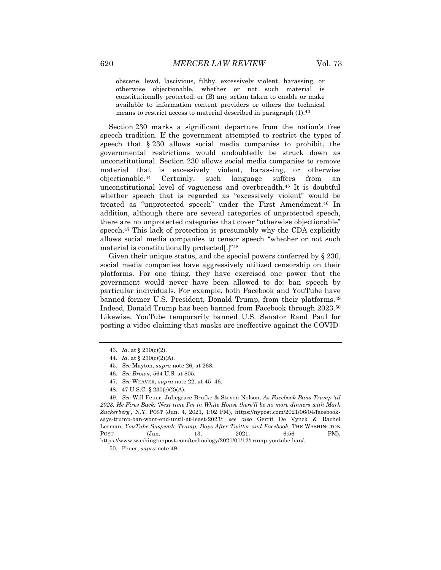obscene, lewd, lascivious, filthy, excessively violent, harassing, or otherwise objectionable, whether or not such material is constitutionally protected; or (B) any action taken to enable or make available to information content providers or others the technical means to restrict access to material described in paragraph (1).<sup>43</sup>

Section 230 marks a significant departure from the nation's free speech tradition. If the government attempted to restrict the types of speech that § 230 allows social media companies to prohibit, the governmental restrictions would undoubtedly be struck down as unconstitutional. Section 230 allows social media companies to remove material that is excessively violent, harassing, or otherwise objectionable.<sup>44</sup> Certainly, such language suffers from an unconstitutional level of vagueness and overbreadth.<sup>45</sup> It is doubtful whether speech that is regarded as "excessively violent" would be treated as "unprotected speech" under the First Amendment.<sup>46</sup> In addition, although there are several categories of unprotected speech, there are no unprotected categories that cover "otherwise objectionable" speech.<sup>47</sup> This lack of protection is presumably why the CDA explicitly allows social media companies to censor speech "whether or not such material is constitutionally protected[.]"<sup>48</sup>

Given their unique status, and the special powers conferred by § 230, social media companies have aggressively utilized censorship on their platforms. For one thing, they have exercised one power that the government would never have been allowed to do: ban speech by particular individuals. For example, both Facebook and YouTube have banned former U.S. President, Donald Trump, from their platforms.<sup>49</sup> Indeed, Donald Trump has been banned from Facebook through 2023.<sup>50</sup> Likewise, YouTube temporarily banned U.S. Senator Rand Paul for posting a video claiming that masks are ineffective against the COVID-

48. 47 U.S.C. § 230(c)(2)(A).

49*. See* Will Feuer, Juliegrace Brufke & Steven Nelson, *As Facebook Bans Trump 'til 2023, He Fires Back: 'Next time I'm in White House there'll be no more dinners with Mark Zuckerberg',* N.Y. POST (Jun. 4, 2021, 1:02 PM), https://nypost.com/2021/06/04/facebooksays-trump-ban-wont-end-until-at-least-2023/; *see also* Gerrit De Vynck & Rachel Lerman, *YouTube Suspends Trump, Days After Twitter and Facebook*, THE WASHINGTON POST (Jan. 13, 2021, 6:56 PM), https://www.washingtonpost.com/technology/2021/01/12/trump-youtube-ban/.

50. Feuer, *supra* note 49.

<sup>43</sup>*. Id.* at § 230(c)(2).

<sup>44</sup>*. Id.* at § 230(c)(2)(A).

<sup>45</sup>*. See* Mayton, *supra* note 26, at 268.

<sup>46</sup>*. See Brown*, 564 U.S. at 805.

<sup>47</sup>*. See* WEAVER, *supra* note 22, at 45–46.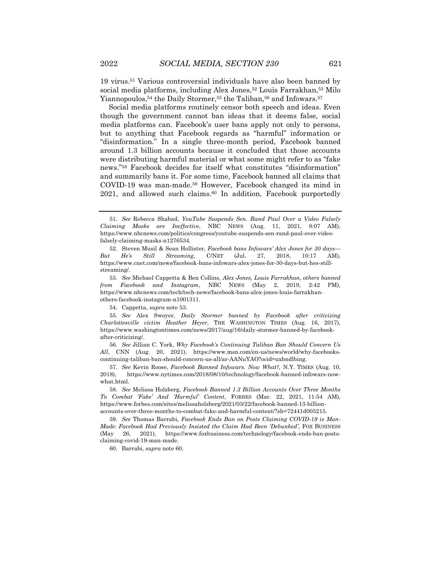19 virus.<sup>51</sup> Various controversial individuals have also been banned by social media platforms, including Alex Jones,<sup>52</sup> Louis Farrakhan,<sup>53</sup> Milo Yiannopoulos,<sup>54</sup> the Daily Stormer,<sup>55</sup> the Taliban,<sup>56</sup> and Infowars.<sup>57</sup>

Social media platforms routinely censor both speech and ideas. Even though the government cannot ban ideas that it deems false, social media platforms can. Facebook's user bans apply not only to persons, but to anything that Facebook regards as "harmful" information or "disinformation." In a single three-month period, Facebook banned around 1.3 billion accounts because it concluded that those accounts were distributing harmful material or what some might refer to as "fake news."<sup>58</sup> Facebook decides for itself what constitutes "disinformation" and summarily bans it. For some time, Facebook banned all claims that COVID-19 was man-made.<sup>59</sup> However, Facebook changed its mind in 2021, and allowed such claims.<sup>60</sup> In addition, Facebook purportedly

53*. See* Michael Cappetta & Ben Collins, *Alex Jones, Louis Farrakhan, others banned from Facebook and Instagram*, NBC NEWS (May 2, 2019, 2:42 PM), https://www.nbcnews.com/tech/tech-news/facebook-bans-alex-jones-louis-farrakhanothers-facebook-instagram-n1001311.

54. Cappetta, *supra* note 53.

55*. See* Alex Swoyer, *Daily Stormer banned by Facebook after criticizing Charlottesville victim Heather Heyer,* THE WASHINGTON TIMES (Aug. 16, 2017), https://www.washingtontimes.com/news/2017/aug/16/daily-stormer-banned-by-facebookafter-criticizing/.

56*. See* Jillian C. York, *Why Facebook's Continuing Taliban Ban Should Concern Us All*, CNN (Aug. 20, 2021), https://www.msn.com/en-us/news/world/why-facebookscontinuing-taliban-ban-should-concern-us-all/ar-AANuYAO?ocid=uxbndlbing.

57*. See* Kevin Roose, *Facebook Banned Infowars. Now What?,* N.Y. TIMES (Aug. 10, 2018), https://www.nytimes.com/2018/08/10/technology/facebook-banned-infowars-nowwhat.html.

58*. See* Melissa Holzberg, *Facebook Banned 1.3 Billion Accounts Over Three Months To Combat 'Fake' And 'Harmful' Content*, FORBES (Mar. 22, 2021, 11:54 AM), https://www.forbes.com/sites/melissaholzberg/2021/03/22/facebook-banned-13-billionaccounts-over-three-months-to-combat-fake-and-harmful-content/?sh=72441d005215.

59*. See* Thomas Barrabi, *Facebook Ends Ban on Posts Claiming COVID-19 is Man-Made: Facebook Had Previously Insisted the Claim Had Been 'Debunked'*, FOX BUSINESS (May 26, 2021), https://www.foxbusiness.com/technology/facebook-ends-ban-postsclaiming-covid-19-man-made.

60. Barrabi, *supra* note 60.

<sup>51</sup>*. See* Rebecca Shabad, *YouTube Suspends Sen. Rand Paul Over a Video Falsely Claiming Masks are Ineffective*, NBC NEWS (Aug. 11, 2021, 8:07 AM), https://www.nbcnews.com/politics/congress/youtube-suspends-sen-rand-paul-over-videofalsely-claiming-masks-n1276534.

<sup>52.</sup> Steven Musil & Sean Hollister, *Facebook bans Infowars' Alex Jones for 30 days— But He's Still Streaming*, C/NET (Jul. 27, 2018, 10:17 AM), https://www.cnet.com/news/facebook-bans-infowars-alex-jones-for-30-days-but-hes-stillstreaming/.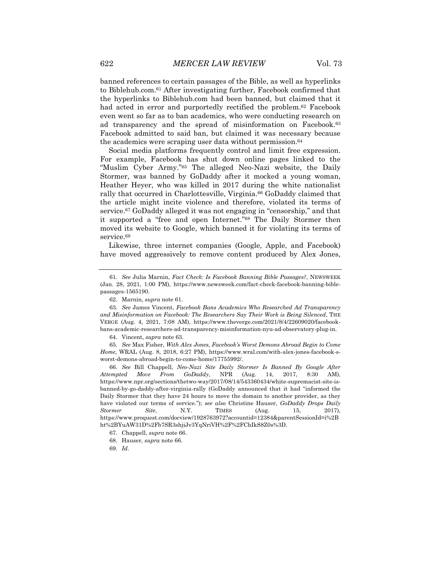banned references to certain passages of the Bible, as well as hyperlinks to Biblehub.com.<sup>61</sup> After investigating further, Facebook confirmed that the hyperlinks to Biblehub.com had been banned, but claimed that it had acted in error and purportedly rectified the problem.<sup>62</sup> Facebook even went so far as to ban academics, who were conducting research on ad transparency and the spread of misinformation on Facebook.<sup>63</sup> Facebook admitted to said ban, but claimed it was necessary because the academics were scraping user data without permission.<sup>64</sup>

Social media platforms frequently control and limit free expression. For example, Facebook has shut down online pages linked to the "Muslim Cyber Army."<sup>65</sup> The alleged Neo-Nazi website, the Daily Stormer, was banned by GoDaddy after it mocked a young woman, Heather Heyer, who was killed in 2017 during the white nationalist rally that occurred in Charlottesville, Virginia.<sup>66</sup> GoDaddy claimed that the article might incite violence and therefore, violated its terms of service.<sup>67</sup> GoDaddy alleged it was not engaging in "censorship," and that it supported a "free and open Internet."<sup>68</sup> The Daily Stormer then moved its website to Google, which banned it for violating its terms of service.<sup>69</sup>

Likewise, three internet companies (Google, Apple, and Facebook) have moved aggressively to remove content produced by Alex Jones,

62. Marnin, *supra* note 61.

63*. See* James Vincent, *Facebook Bans Academics Who Researched Ad Transparency and Misinformation on Facebook: The Researchers Say Their Work is Being Silenced*, THE VERGE (Aug. 4, 2021, 7:08 AM), https://www.theverge.com/2021/8/4/22609020/facebookbans-academic-researchers-ad-transparency-misinformation-nyu-ad-observatory-plug-in.

64. Vincent, *supra* note 63.

65*. See* Max Fisher, *With Alex Jones, Facebook's Worst Demons Abroad Begin to Come Home,* WRAL (Aug. 8, 2018, 6:27 PM), https://www.wral.com/with-alex-jones-facebook-sworst-demons-abroad-begin-to-come-home/17755992/.

66*. See* Bill Chappell, *Neo-Nazi Site Daily Stormer Is Banned By Google After Attempted Move From GoDaddy*, NPR (Aug. 14, 2017, 8:30 AM), https://www.npr.org/sections/thetwo-way/2017/08/14/543360434/white-supremacist-site-isbanned-by-go-daddy-after-virginia-rally (GoDaddy announced that it had "informed the Daily Stormer that they have 24 hours to move the domain to another provider, as they have violated our terms of service."); *see also* Christine Hauser, *GoDaddy Drops Daily Stormer Site*, N.Y. TIMES (Aug. 15, 2017), https://www.proquest.com/docview/1928763972?accountid=12384&parentSessionId=i%2B ht%2BYuAW31D%2Fb7SR3shjiJv3YqNriVH%2F%2FChIkS8Z0s%3D.

<sup>61</sup>*. See* Julia Marnin, *Fact Check: Is Facebook Banning Bible Passages?*, NEWSWEEK (Jan. 28, 2021, 1:00 PM), https://www.newsweek.com/fact-check-facebook-banning-biblepassages-1565190.

<sup>67.</sup> Chappell, *supra* note 66.

<sup>68.</sup> Hauser, *supra* note 66.

<sup>69</sup>*. Id*.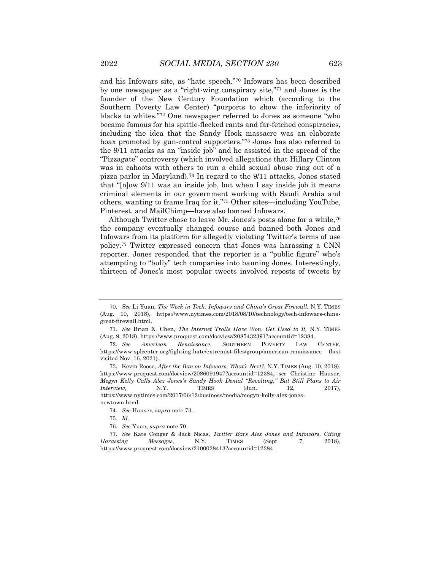and his Infowars site, as "hate speech."<sup>70</sup> Infowars has been described by one newspaper as a "right-wing conspiracy site,"<sup>71</sup> and Jones is the founder of the New Century Foundation which (according to the Southern Poverty Law Center) "purports to show the inferiority of blacks to whites."<sup>72</sup> One newspaper referred to Jones as someone "who became famous for his spittle-flecked rants and far-fetched conspiracies, including the idea that the Sandy Hook massacre was an elaborate hoax promoted by gun-control supporters."<sup>73</sup> Jones has also referred to the 9/11 attacks as an "inside job" and he assisted in the spread of the "Pizzagate" controversy (which involved allegations that Hillary Clinton was in cahoots with others to run a child sexual abuse ring out of a pizza parlor in Maryland).<sup>74</sup> In regard to the 9/11 attacks, Jones stated that "[n]ow 9/11 was an inside job, but when I say inside job it means criminal elements in our government working with Saudi Arabia and others, wanting to frame Iraq for it."<sup>75</sup> Other sites—including YouTube, Pinterest, and MailChimp—have also banned Infowars.

Although Twitter chose to leave Mr. Jones's posts alone for a while,<sup>76</sup> the company eventually changed course and banned both Jones and Infowars from its platform for allegedly violating Twitter's terms of use policy.<sup>77</sup> Twitter expressed concern that Jones was harassing a CNN reporter. Jones responded that the reporter is a "public figure" who's attempting to "bully" tech companies into banning Jones. Interestingly, thirteen of Jones's most popular tweets involved reposts of tweets by

<sup>70</sup>*. See* Li Yuan, *The Week in Tech: Infowars and China's Great Firewall,* N.Y. TIMES (Aug. 10, 2018), https://www.nytimes.com/2018/08/10/technology/tech-infowars-chinagreat-firewall.html.

<sup>71</sup>*. See* Brian X. Chen, *The Internet Trolls Have Won. Get Used to It,* N.Y. TIMES (Aug. 9, 2018), https://www.proquest.com/docview/2085432391?accountid=12384.

<sup>72</sup>*. See American Renaissance*, SOUTHERN POVERTY LAW CENTER, https://www.splcenter.org/fighting-hate/extremist-files/group/american-renaissance (last visited Nov. 16, 2021).

<sup>73.</sup> Kevin Roose, *After the Ban on Infowars, What's Next?*, N.Y. TIMES (Aug. 10, 2018), https://www.proquest.com/docview/2086091947?accountid=12384; *see* Christine Hauser, *Megyn Kelly Calls Alex Jones's Sandy Hook Denial "Revolting," But Still Plans to Air Interview*, **N.Y. TIMES** (Jun. 12, 2017), https://www.nytimes.com/2017/06/12/business/media/megyn-kelly-alex-jonesnewtown.html.

<sup>74</sup>*. See* Hauser, *supra* note 73.

<sup>75</sup>*. Id.*

<sup>76</sup>*. See* Yuan, *supra* note 70.

<sup>77</sup>*. See* Kate Conger & Jack Nicas, *Twitter Bars Alex Jones and Infowars, Citing Harassing Messages,* N.Y. TIMES (Sept. 7, 2018), https://www.proquest.com/docview/2100028413?accountid=12384.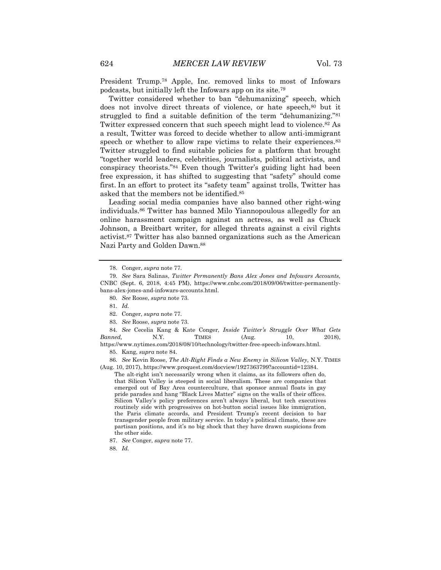President Trump.<sup>78</sup> Apple, Inc. removed links to most of Infowars podcasts, but initially left the Infowars app on its site.<sup>79</sup>

Twitter considered whether to ban "dehumanizing" speech, which does not involve direct threats of violence, or hate speech, 80 but it struggled to find a suitable definition of the term "dehumanizing."<sup>81</sup> Twitter expressed concern that such speech might lead to violence.<sup>82</sup> As a result, Twitter was forced to decide whether to allow anti-immigrant speech or whether to allow rape victims to relate their experiences.<sup>83</sup> Twitter struggled to find suitable policies for a platform that brought "together world leaders, celebrities, journalists, political activists, and conspiracy theorists."<sup>84</sup> Even though Twitter's guiding light had been free expression, it has shifted to suggesting that "safety" should come first. In an effort to protect its "safety team" against trolls, Twitter has asked that the members not be identified.<sup>85</sup>

Leading social media companies have also banned other right-wing individuals.<sup>86</sup> Twitter has banned Milo Yiannopoulous allegedly for an online harassment campaign against an actress, as well as Chuck Johnson, a Breitbart writer, for alleged threats against a civil rights activist.<sup>87</sup> Twitter has also banned organizations such as the American Nazi Party and Golden Dawn.<sup>88</sup>

83*. See* Roose, *supra* note 73.

84*. See* Cecelia Kang & Kate Conger, *Inside Twitter's Struggle Over What Gets Banned,* N.Y. TIMES (Aug. 10, 2018), https://www.nytimes.com/2018/08/10/technology/twitter-free-speech-infowars.html.

85. Kang, *supra* note 84.

86*. See* Kevin Roose, *The Alt-Right Finds a New Enemy in Silicon Valley,* N.Y. TIMES (Aug. 10, 2017), https://www.proquest.com/docview/1927363799?accountid=12384.

The alt-right isn't necessarily wrong when it claims, as its followers often do, that Silicon Valley is steeped in social liberalism. These are companies that emerged out of Bay Area counterculture, that sponsor annual floats in gay pride parades and hang "Black Lives Matter" signs on the walls of their offices. Silicon Valley's policy preferences aren't always liberal, but tech executives routinely side with progressives on hot-button social issues like immigration, the Paris climate accords, and President Trump's recent decision to bar transgender people from military service. In today's political climate, these are partisan positions, and it's no big shock that they have drawn suspicions from the other side.

<sup>78.</sup> Conger, *supra* note 77.

<sup>79</sup>*. See* Sara Salinas, *Twitter Permanently Bans Alex Jones and Infowars Accounts,* CNBC (Sept. 6, 2018, 4:45 PM), https://www.cnbc.com/2018/09/06/twitter-permanentlybans-alex-jones-and-infowars-accounts.html.

<sup>80</sup>*. See* Roose, *supra* note 73.

<sup>81</sup>*. Id.*

<sup>82.</sup> Conger, *supra* note 77.

<sup>87</sup>*. See* Conger, *supra* note 77.

<sup>88</sup>*. Id.*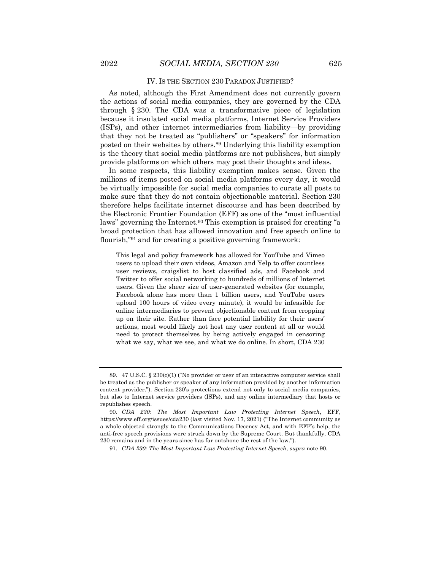#### IV. IS THE SECTION 230 PARADOX JUSTIFIED?

As noted, although the First Amendment does not currently govern the actions of social media companies, they are governed by the CDA through § 230. The CDA was a transformative piece of legislation because it insulated social media platforms, Internet Service Providers (ISPs), and other internet intermediaries from liability—by providing that they not be treated as "publishers" or "speakers" for information posted on their websites by others.<sup>89</sup> Underlying this liability exemption is the theory that social media platforms are not publishers, but simply provide platforms on which others may post their thoughts and ideas.

In some respects, this liability exemption makes sense. Given the millions of items posted on social media platforms every day, it would be virtually impossible for social media companies to curate all posts to make sure that they do not contain objectionable material. Section 230 therefore helps facilitate internet discourse and has been described by the Electronic Frontier Foundation (EFF) as one of the "most influential laws" governing the Internet.<sup>90</sup> This exemption is praised for creating "a broad protection that has allowed innovation and free speech online to flourish,"<sup>91</sup> and for creating a positive governing framework:

This legal and policy framework has allowed for YouTube and Vimeo users to upload their own videos, Amazon and Yelp to offer countless user reviews, craigslist to host classified ads, and Facebook and Twitter to offer social networking to hundreds of millions of Internet users. Given the sheer size of user-generated websites (for example, Facebook alone has more than 1 billion users, and YouTube users upload 100 hours of video every minute), it would be infeasible for online intermediaries to prevent objectionable content from cropping up on their site. Rather than face potential liability for their users' actions, most would likely not host any user content at all or would need to protect themselves by being actively engaged in censoring what we say, what we see, and what we do online. In short, CDA 230

91*. CDA 230: The Most Important Law Protecting Internet Speech*, *supra* note 90.

<sup>89.</sup> 47 U.S.C. § 230(c)(1) ("No provider or user of an interactive computer service shall be treated as the publisher or speaker of any information provided by another information content provider."). Section 230's protections extend not only to social media companies, but also to Internet service providers (ISPs), and any online intermediary that hosts or republishes speech.

<sup>90</sup>*. CDA 230: The Most Important Law Protecting Internet Speech*, EFF, https://www.eff.org/issues/cda230 (last visited Nov. 17, 2021) ("The Internet community as a whole objected strongly to the Communications Decency Act, and with EFF's help, the anti-free speech provisions were struck down by the Supreme Court. But thankfully, CDA 230 remains and in the years since has far outshone the rest of the law.").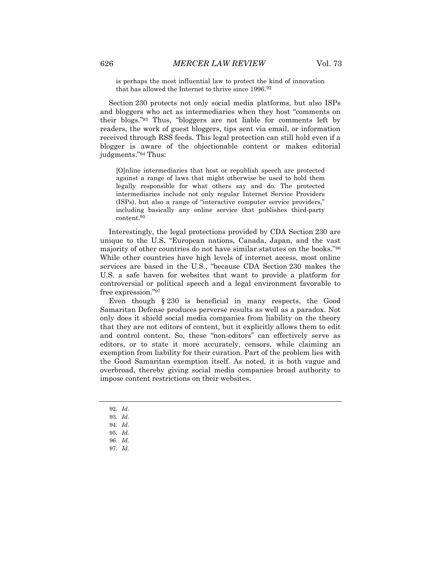is perhaps the most influential law to protect the kind of innovation that has allowed the Internet to thrive since 1996.<sup>92</sup>

Section 230 protects not only social media platforms, but also ISPs and bloggers who act as intermediaries when they host "comments on their blogs."<sup>93</sup> Thus, "bloggers are not liable for comments left by readers, the work of guest bloggers, tips sent via email, or information received through RSS feeds. This legal protection can still hold even if a blogger is aware of the objectionable content or makes editorial judgments."<sup>94</sup> Thus:

[O]nline intermediaries that host or republish speech are protected against a range of laws that might otherwise be used to hold them legally responsible for what others say and do. The protected intermediaries include not only regular Internet Service Providers (ISPs), but also a range of "interactive computer service providers," including basically any online service that publishes third-party content.<sup>95</sup>

Interestingly, the legal protections provided by CDA Section 230 are unique to the U.S. "European nations, Canada, Japan, and the vast majority of other countries do not have similar statutes on the books."<sup>96</sup> While other countries have high levels of internet access, most online services are based in the U.S., "because CDA Section 230 makes the U.S. a safe haven for websites that want to provide a platform for controversial or political speech and a legal environment favorable to free expression."<sup>97</sup>

Even though § 230 is beneficial in many respects, the Good Samaritan Defense produces perverse results as well as a paradox. Not only does it shield social media companies from liability on the theory that they are not editors of content, but it explicitly allows them to edit and control content. So, these "non-editors" can effectively serve as editors, or to state it more accurately, censors, while claiming an exemption from liability for their curation. Part of the problem lies with the Good Samaritan exemption itself. As noted, it is both vague and overbroad, thereby giving social media companies broad authority to impose content restrictions on their websites.

- 92*. Id.*
- 93*. Id.*
- 94*. Id.*
- 95*. Id.*
- 96*. Id.*
- 97*. Id.*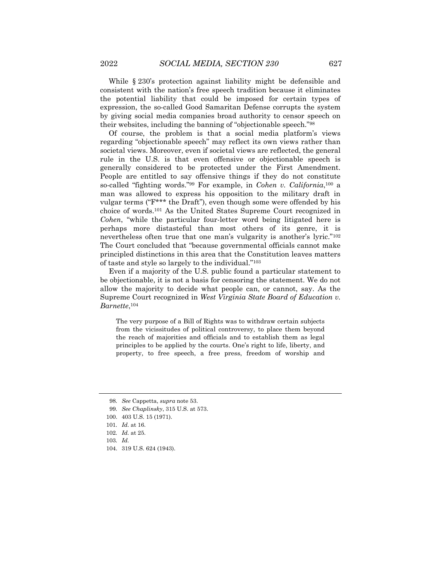While § 230's protection against liability might be defensible and consistent with the nation's free speech tradition because it eliminates the potential liability that could be imposed for certain types of expression, the so-called Good Samaritan Defense corrupts the system by giving social media companies broad authority to censor speech on their websites, including the banning of "objectionable speech."<sup>98</sup>

Of course, the problem is that a social media platform's views regarding "objectionable speech" may reflect its own views rather than societal views. Moreover, even if societal views are reflected, the general rule in the U.S. is that even offensive or objectionable speech is generally considered to be protected under the First Amendment. People are entitled to say offensive things if they do not constitute so-called "fighting words."<sup>99</sup> For example, in *Cohen v. California*, <sup>100</sup> a man was allowed to express his opposition to the military draft in vulgar terms ("F\*\*\* the Draft"), even though some were offended by his choice of words.<sup>101</sup> As the United States Supreme Court recognized in *Cohen*, "while the particular four-letter word being litigated here is perhaps more distasteful than most others of its genre, it is nevertheless often true that one man's vulgarity is another's lyric."<sup>102</sup> The Court concluded that "because governmental officials cannot make principled distinctions in this area that the Constitution leaves matters of taste and style so largely to the individual."<sup>103</sup>

Even if a majority of the U.S. public found a particular statement to be objectionable, it is not a basis for censoring the statement. We do not allow the majority to decide what people can, or cannot, say. As the Supreme Court recognized in *West Virginia State Board of Education v. Barnette*, 104

The very purpose of a Bill of Rights was to withdraw certain subjects from the vicissitudes of political controversy, to place them beyond the reach of majorities and officials and to establish them as legal principles to be applied by the courts. One's right to life, liberty, and property, to free speech, a free press, freedom of worship and

<sup>98</sup>*. See* Cappetta, *supra* note 53.

<sup>99</sup>*. See Chaplinsky*, 315 U.S. at 573.

<sup>100.</sup> 403 U.S. 15 (1971).

<sup>101</sup>*. Id.* at 16.

<sup>102</sup>*. Id.* at 25.

<sup>103</sup>*. Id.*

<sup>104.</sup> 319 U.S. 624 (1943).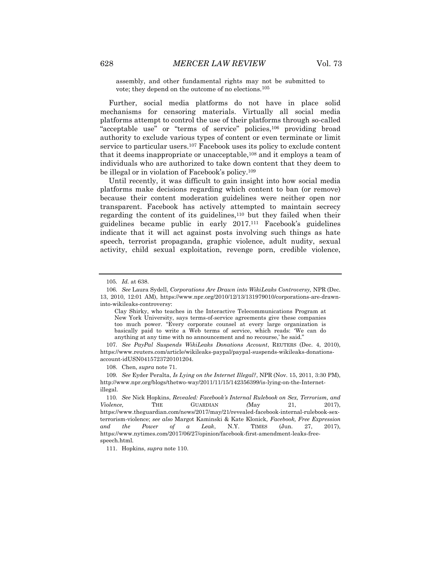assembly, and other fundamental rights may not be submitted to vote; they depend on the outcome of no elections.<sup>105</sup>

Further, social media platforms do not have in place solid mechanisms for censoring materials. Virtually all social media platforms attempt to control the use of their platforms through so-called "acceptable use" or "terms of service" policies,<sup>106</sup> providing broad authority to exclude various types of content or even terminate or limit service to particular users.<sup>107</sup> Facebook uses its policy to exclude content that it deems inappropriate or unacceptable,<sup>108</sup> and it employs a team of individuals who are authorized to take down content that they deem to be illegal or in violation of Facebook's policy.<sup>109</sup>

Until recently, it was difficult to gain insight into how social media platforms make decisions regarding which content to ban (or remove) because their content moderation guidelines were neither open nor transparent. Facebook has actively attempted to maintain secrecy regarding the content of its guidelines,<sup>110</sup> but they failed when their guidelines became public in early 2017.<sup>111</sup> Facebook's guidelines indicate that it will act against posts involving such things as hate speech, terrorist propaganda, graphic violence, adult nudity, sexual activity, child sexual exploitation, revenge porn, credible violence,

107*. See PayPal Suspends WikiLeaks Donations Account*, REUTERS (Dec. 4, 2010), https://www.reuters.com/article/wikileaks-paypal/paypal-suspends-wikileaks-donationsaccount-idUSN0415723720101204.

108. Chen, *supra* note 71.

111. Hopkins, *supra* note 110.

<sup>105</sup>*. Id.* at 638.

<sup>106</sup>*. See* Laura Sydell, *Corporations Are Drawn into WikiLeaks Controversy,* NPR (Dec. 13, 2010, 12:01 AM), https://www.npr.org/2010/12/13/131979010/corporations-are-drawninto-wikileaks-controversy:

Clay Shirky, who teaches in the Interactive Telecommunications Program at New York University, says terms-of-service agreements give these companies too much power. "Every corporate counsel at every large organization is basically paid to write a Web terms of service, which reads: 'We can do anything at any time with no announcement and no recourse,' he said."

<sup>109</sup>*. See* Eyder Peralta, *Is Lying on the Internet Illegal?*, NPR (Nov. 15, 2011, 3:30 PM), http://www.npr.org/blogs/thetwo-way/2011/11/15/142356399/is-lying-on-the-Internetillegal.

<sup>110</sup>*. See* Nick Hopkins, *Revealed: Facebook's Internal Rulebook on Sex, Terrorism, and Violence,* THE GUARDIAN *(*May 21, 2017), https://www.theguardian.com/news/2017/may/21/revealed-facebook-internal-rulebook-sexterrorism-violence; *see also* Margot Kaminski & Kate Klonick*, Facebook, Free Expression and the Power of a Leak*, N.Y. TIMES (Jun. 27, 2017), https://www.nytimes.com/2017/06/27/opinion/facebook-first-amendment-leaks-freespeech.html*.*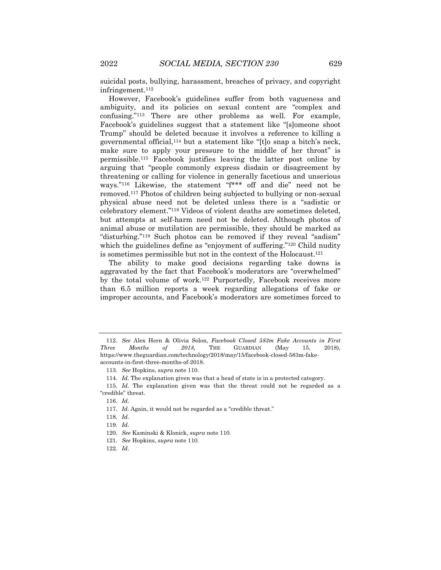suicidal posts, bullying, harassment, breaches of privacy, and copyright infringement.<sup>112</sup>

However, Facebook's guidelines suffer from both vagueness and ambiguity, and its policies on sexual content are "complex and confusing."<sup>113</sup> There are other problems as well. For example, Facebook's guidelines suggest that a statement like "[s]omeone shoot Trump" should be deleted because it involves a reference to killing a governmental official,<sup>114</sup> but a statement like "[t]o snap a bitch's neck, make sure to apply your pressure to the middle of her throat" is permissible.<sup>115</sup> Facebook justifies leaving the latter post online by arguing that "people commonly express disdain or disagreement by threatening or calling for violence in generally facetious and unserious ways."<sup>116</sup> Likewise, the statement "f\*\*\* off and die" need not be removed.<sup>117</sup> Photos of children being subjected to bullying or non-sexual physical abuse need not be deleted unless there is a "sadistic or celebratory element."<sup>118</sup> Videos of violent deaths are sometimes deleted, but attempts at self-harm need not be deleted. Although photos of animal abuse or mutilation are permissible, they should be marked as "disturbing."<sup>119</sup> Such photos can be removed if they reveal "sadism" which the guidelines define as "enjoyment of suffering."<sup>120</sup> Child nudity is sometimes permissible but not in the context of the Holocaust.<sup>121</sup>

The ability to make good decisions regarding take downs is aggravated by the fact that Facebook's moderators are "overwhelmed" by the total volume of work.<sup>122</sup> Purportedly, Facebook receives more than 6.5 million reports a week regarding allegations of fake or improper accounts, and Facebook's moderators are sometimes forced to

<sup>112</sup>*. See* Alex Hern & Olivia Solon, *Facebook Closed 583m Fake Accounts in First Three Months of 2018,* THE GUARDIAN (May 15, 2018), https://www.theguardian.com/technology/2018/may/15/facebook-closed-583m-fakeaccounts-in-first-three-months-of-2018.

<sup>113</sup>*. See* Hopkins, *supra* note 110.

<sup>114</sup>*. Id.* The explanation given was that a head of state is in a protected category.

<sup>115</sup>*. Id.* The explanation given was that the threat could not be regarded as a "credible" threat.

<sup>116</sup>*. Id.*

<sup>117</sup>*. Id.* Again, it would not be regarded as a "credible threat."

<sup>118</sup>*. Id.*

<sup>119</sup>*. Id.*

<sup>120</sup>*. See* Kaminski & Klonick, *supra* note 110.

<sup>121</sup>*. See* Hopkins, *supra* note 110.

<sup>122</sup>*. Id.*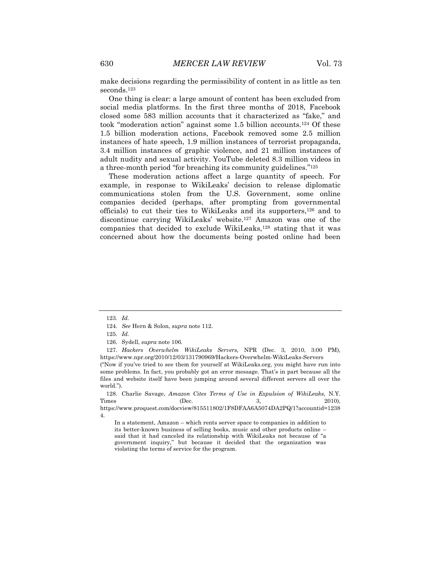make decisions regarding the permissibility of content in as little as ten seconds.<sup>123</sup>

One thing is clear: a large amount of content has been excluded from social media platforms. In the first three months of 2018, Facebook closed some 583 million accounts that it characterized as "fake," and took "moderation action" against some 1.5 billion accounts.<sup>124</sup> Of these 1.5 billion moderation actions, Facebook removed some 2.5 million instances of hate speech, 1.9 million instances of terrorist propaganda, 3.4 million instances of graphic violence, and 21 million instances of adult nudity and sexual activity. YouTube deleted 8.3 million videos in a three-month period "for breaching its community guidelines."<sup>125</sup>

These moderation actions affect a large quantity of speech. For example, in response to WikiLeaks' decision to release diplomatic communications stolen from the U.S. Government, some online companies decided (perhaps, after prompting from governmental officials) to cut their ties to WikiLeaks and its supporters,<sup>126</sup> and to discontinue carrying WikiLeaks' website.<sup>127</sup> Amazon was one of the companies that decided to exclude WikiLeaks,<sup>128</sup> stating that it was concerned about how the documents being posted online had been

126. Sydell, *supra* note 106*.*

128. Charlie Savage, *Amazon Cites Terms of Use in Expulsion of WikiLeaks,* N.Y. Times (Dec. 3, 2010), https://www.proquest.com/docview/815511802/1F8DFAA6A5074DA2PQ/1?accountid=1238

4.

In a statement, Amazon – which rents server space to companies in addition to its better-known business of selling books, music and other products online – said that it had canceled its relationship with WikiLeaks not because of "a government inquiry," but because it decided that the organization was violating the terms of service for the program.

<sup>123</sup>*. Id.*

<sup>124</sup>*. See* Hern & Solon, *supra* note 112.

<sup>125</sup>*. Id.*

<sup>127</sup>*. Hackers Overwhelm WikiLeaks Servers,* NPR (Dec. 3, 2010, 3:00 PM), https://www.npr.org/2010/12/03/131790969/Hackers-Overwhelm-WikiLeaks-Servers

<sup>(</sup>"Now if you've tried to see them for yourself at WikiLeaks.org, you might have run into some problems. In fact, you probably got an error message. That's in part because all the files and website itself have been jumping around several different servers all over the world.").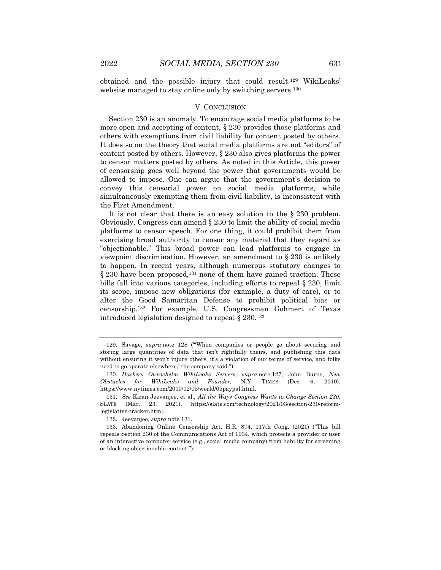obtained and the possible injury that could result.<sup>129</sup> WikiLeaks' website managed to stay online only by switching servers.<sup>130</sup>

#### V. CONCLUSION

Section 230 is an anomaly. To encourage social media platforms to be more open and accepting of content,  $\S 230$  provides those platforms and others with exemptions from civil liability for content posted by others. It does so on the theory that social media platforms are not "editors" of content posted by others. However, § 230 also gives platforms the power to censor matters posted by others. As noted in this Article, this power of censorship goes well beyond the power that governments would be allowed to impose. One can argue that the government's decision to convey this censorial power on social media platforms, while simultaneously exempting them from civil liability, is inconsistent with the First Amendment.

It is not clear that there is an easy solution to the § 230 problem. Obviously, Congress can amend § 230 to limit the ability of social media platforms to censor speech. For one thing, it could prohibit them from exercising broad authority to censor any material that they regard as "objectionable." This broad power can lead platforms to engage in viewpoint discrimination. However, an amendment to § 230 is unlikely to happen. In recent years, although numerous statutory changes to § 230 have been proposed,<sup>131</sup> none of them have gained traction. These bills fall into various categories, including efforts to repeal § 230, limit its scope, impose new obligations (for example, a duty of care), or to alter the Good Samaritan Defense to prohibit political bias or censorship.<sup>132</sup> For example, U.S. Congressman Gohmert of Texas introduced legislation designed to repeal § 230.<sup>133</sup>

<sup>129.</sup> Savage, *supra* note 128 ("'When companies or people go about securing and storing large quantities of data that isn't rightfully theirs, and publishing this data without ensuring it won't injure others, it's a violation of our terms of service, and folks need to go operate elsewhere,' the company said.").

<sup>130</sup>*. Hackers Overwhelm WikiLeaks Servers, supra* note 127; John Burns, *New Obstacles for WikiLeaks and Founder,* N.Y. TIMES (Dec. 6, 2010), https://www.nytimes.com/2010/12/05/world/05paypal.html.

<sup>131</sup>*. See* Kiran Jeevanjee, et al., *All the Ways Congress Wants to Change Section 230*, SLATE (Mar. 23, 2021), https://slate.com/technology/2021/03/section-230-reformlegislative-tracker.html.

<sup>132.</sup> Jeevanjee, *supra* note 131.

<sup>133.</sup> Abandoning Online Censorship Act, H.R. 874, 117th Cong. (2021) ("This bill repeals Section 230 of the Communications Act of 1934, which protects a provider or user of an interactive computer service (e.g., social media company) from liability for screening or blocking objectionable content.").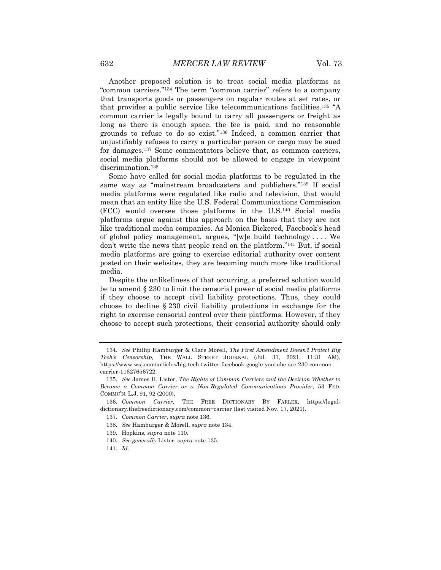Another proposed solution is to treat social media platforms as "common carriers."<sup>134</sup> The term "common carrier" refers to a company that transports goods or passengers on regular routes at set rates, or that provides a public service like telecommunications facilities.<sup>135</sup> "A common carrier is legally bound to carry all passengers or freight as long as there is enough space, the fee is paid, and no reasonable grounds to refuse to do so exist."<sup>136</sup> Indeed, a common carrier that unjustifiably refuses to carry a particular person or cargo may be sued for damages.<sup>137</sup> Some commentators believe that, as common carriers, social media platforms should not be allowed to engage in viewpoint discrimination.<sup>138</sup>

Some have called for social media platforms to be regulated in the same way as "mainstream broadcasters and publishers."<sup>139</sup> If social media platforms were regulated like radio and television, that would mean that an entity like the U.S. Federal Communications Commission (FCC) would oversee those platforms in the U.S.<sup>140</sup> Social media platforms argue against this approach on the basis that they are not like traditional media companies. As Monica Bickered, Facebook's head of global policy management, argues, "[w]e build technology . . . . We don't write the news that people read on the platform."<sup>141</sup> But, if social media platforms are going to exercise editorial authority over content posted on their websites, they are becoming much more like traditional media.

Despite the unlikeliness of that occurring, a preferred solution would be to amend § 230 to limit the censorial power of social media platforms if they choose to accept civil liability protections. Thus, they could choose to decline § 230 civil liability protections in exchange for the right to exercise censorial control over their platforms. However, if they choose to accept such protections, their censorial authority should only

- 139. Hopkins, *supra* note 110.
- 140*. See generally* Lister, *supra* note 135.
- 141*. Id.*

<sup>134</sup>*. See* Phillip Hamburger & Clare Morell, *The First Amendment Doesn't Protect Big Tech's Censorship,* THE WALL STREET JOURNAL (Jul. 31, 2021, 11:31 AM), https://www.wsj.com/articles/big-tech-twitter-facebook-google-youtube-sec-230-commoncarrier-11627656722.

<sup>135</sup>*. See* James H. Lister, *The Rights of Common Carriers and the Decision Whether to Become a Common Carrier or a Non-Regulated Communications Provider*, 53 FED. COMMC'N. L.J. 91, 92 (2000).

<sup>136</sup>*. Common Carrier,* THE FREE DICTIONARY BY FARLEX, https://legaldictionary.thefreedictionary.com/common+carrier (last visited Nov. 17, 2021).

<sup>137</sup>*. Common Carrier*, *supra* note 136.

<sup>138</sup>*. See* Hamburger & Morell, *supra* note 134.